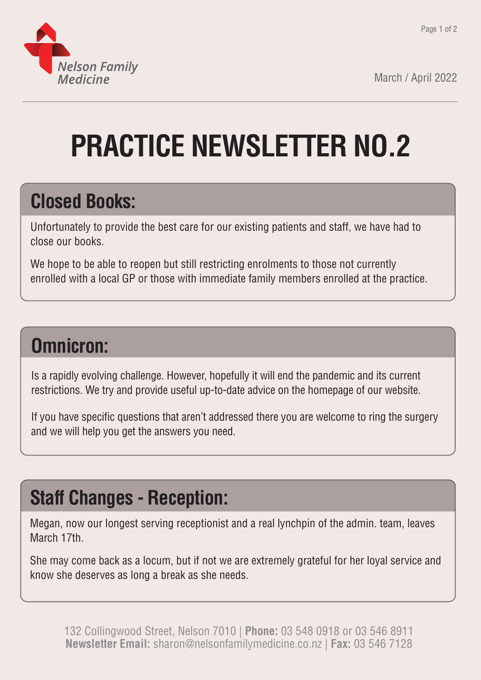

March / April 2022

# **PRACTICE NEWSLETTER NO.2**

### **Closed Books:**

Unfortunately to provide the best care for our existing patients and staff, we have had to close our books.

We hope to be able to reopen but still restricting enrolments to those not currently enrolled with a local GP or those with immediate family members enrolled at the practice.

### **Omnicron:**

Is a rapidly evolving challenge. However, hopefully it will end the pandemic and its current restrictions. We try and provide useful up-to-date advice on the homepage of our website.

If you have specific questions that aren't addressed there you are welcome to ring the surgery and we will help you get the answers you need.

## **Staff Changes - Reception:**

Megan, now our longest serving receptionist and a real lynchpin of the admin. team, leaves March 17th.

She may come back as a locum, but if not we are extremely grateful for her loyal service and know she deserves as long a break as she needs.

132 Collingwood Street, Nelson 7010 | **Phone:** 03 548 0918 or 03 546 8911 **Newsletter Email:** sharon@nelsonfamilymedicine.co.nz | **Fax:** 03 546 7128